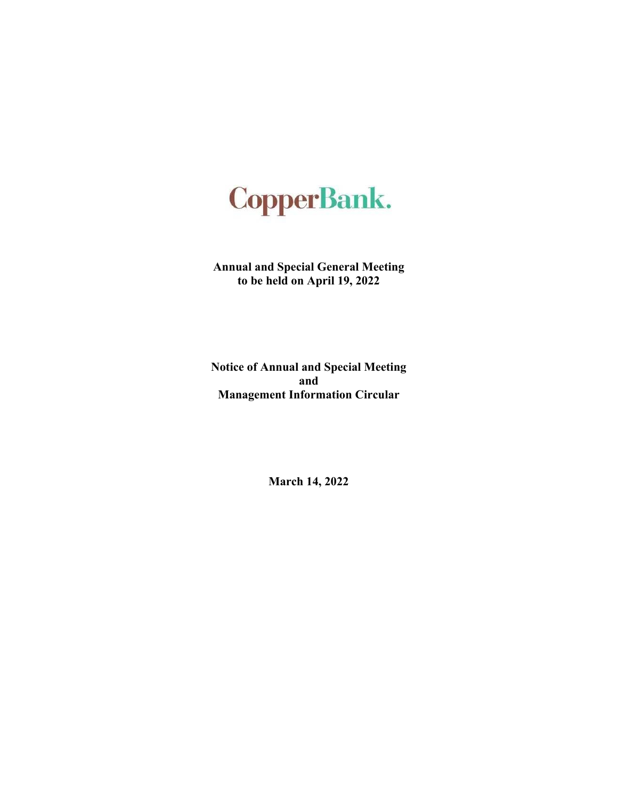# **CopperBank.**

**Annual and Special General Meeting to be held on April 19, 2022**

**Notice of Annual and Special Meeting and Management Information Circular**

**March 14, 2022**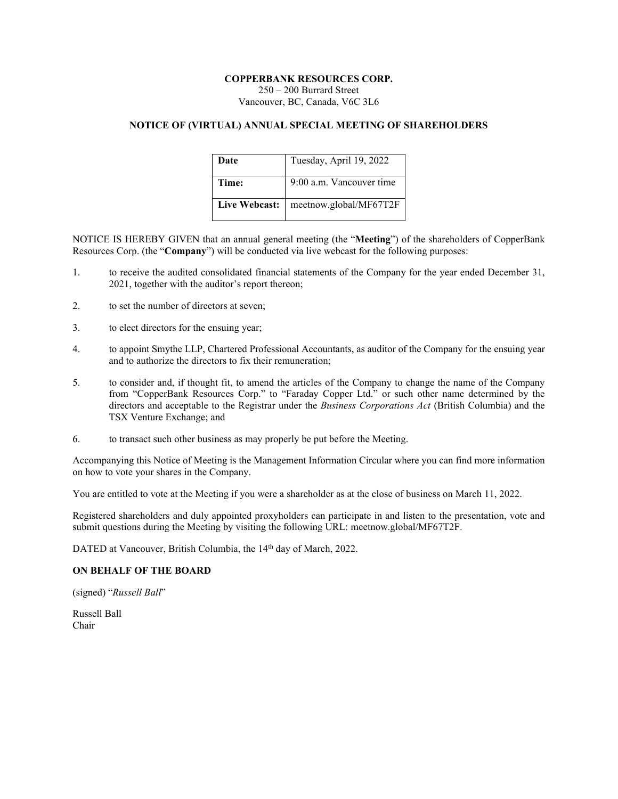# **COPPERBANK RESOURCES CORP.**

250 – 200 Burrard Street Vancouver, BC, Canada, V6C 3L6

# **NOTICE OF (VIRTUAL) ANNUAL SPECIAL MEETING OF SHAREHOLDERS**

| Date          | Tuesday, April 19, 2022  |
|---------------|--------------------------|
| Time:         | 9:00 a.m. Vancouver time |
| Live Webcast: | meetnow.global/MF67T2F   |

NOTICE IS HEREBY GIVEN that an annual general meeting (the "**Meeting**") of the shareholders of CopperBank Resources Corp. (the "**Company**") will be conducted via live webcast for the following purposes:

- 1. to receive the audited consolidated financial statements of the Company for the year ended December 31, 2021, together with the auditor's report thereon;
- 2. to set the number of directors at seven;
- 3. to elect directors for the ensuing year;
- 4. to appoint Smythe LLP, Chartered Professional Accountants, as auditor of the Company for the ensuing year and to authorize the directors to fix their remuneration;
- 5. to consider and, if thought fit, to amend the articles of the Company to change the name of the Company from "CopperBank Resources Corp." to "Faraday Copper Ltd." or such other name determined by the directors and acceptable to the Registrar under the *Business Corporations Act* (British Columbia) and the TSX Venture Exchange; and
- 6. to transact such other business as may properly be put before the Meeting.

Accompanying this Notice of Meeting is the Management Information Circular where you can find more information on how to vote your shares in the Company.

You are entitled to vote at the Meeting if you were a shareholder as at the close of business on March 11, 2022.

Registered shareholders and duly appointed proxyholders can participate in and listen to the presentation, vote and submit questions during the Meeting by visiting the following URL: meetnow.global/MF67T2F.

DATED at Vancouver, British Columbia, the 14<sup>th</sup> day of March, 2022.

# **ON BEHALF OF THE BOARD**

(signed) "*Russell Ball*"

Russell Ball Chair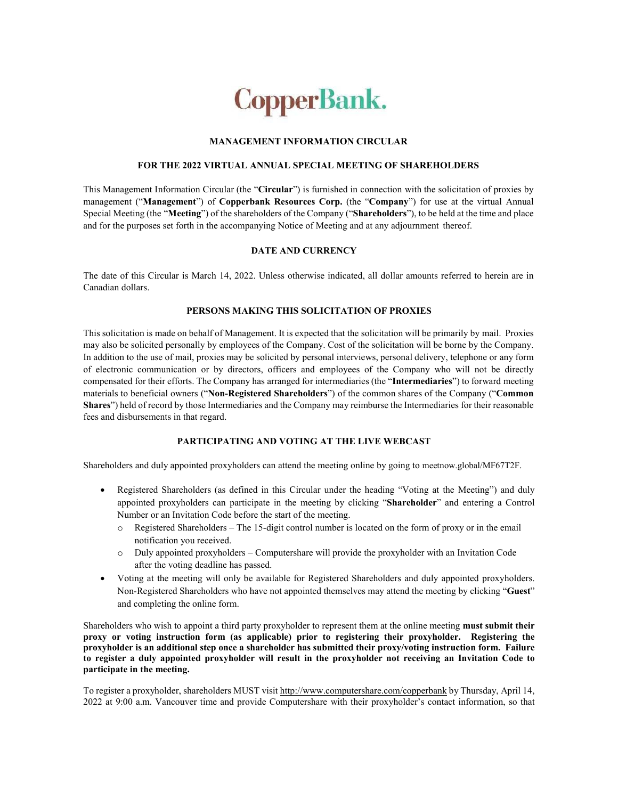# **CopperBank.**

# **MANAGEMENT INFORMATION CIRCULAR**

# **FOR THE 2022 VIRTUAL ANNUAL SPECIAL MEETING OF SHAREHOLDERS**

This Management Information Circular (the "**Circular**") is furnished in connection with the solicitation of proxies by management ("**Management**") of **Copperbank Resources Corp.** (the "**Company**") for use at the virtual Annual Special Meeting (the "**Meeting**") of the shareholders of the Company ("**Shareholders**"), to be held at the time and place and for the purposes set forth in the accompanying Notice of Meeting and at any adjournment thereof.

# **DATE AND CURRENCY**

The date of this Circular is March 14, 2022. Unless otherwise indicated, all dollar amounts referred to herein are in Canadian dollars.

# **PERSONS MAKING THIS SOLICITATION OF PROXIES**

This solicitation is made on behalf of Management. It is expected that the solicitation will be primarily by mail. Proxies may also be solicited personally by employees of the Company. Cost of the solicitation will be borne by the Company. In addition to the use of mail, proxies may be solicited by personal interviews, personal delivery, telephone or any form of electronic communication or by directors, officers and employees of the Company who will not be directly compensated for their efforts. The Company has arranged for intermediaries (the "**Intermediaries**") to forward meeting materials to beneficial owners ("**Non-Registered Shareholders**") of the common shares of the Company ("**Common Shares**") held of record by those Intermediaries and the Company may reimburse the Intermediaries for their reasonable fees and disbursements in that regard.

# **PARTICIPATING AND VOTING AT THE LIVE WEBCAST**

Shareholders and duly appointed proxyholders can attend the meeting online by going to meetnow.global/MF67T2F.

- Registered Shareholders (as defined in this Circular under the heading "Voting at the Meeting") and duly appointed proxyholders can participate in the meeting by clicking "**Shareholder**" and entering a Control Number or an Invitation Code before the start of the meeting.
	- o Registered Shareholders The 15-digit control number is located on the form of proxy or in the email notification you received.
	- o Duly appointed proxyholders Computershare will provide the proxyholder with an Invitation Code after the voting deadline has passed.
- Voting at the meeting will only be available for Registered Shareholders and duly appointed proxyholders. Non-Registered Shareholders who have not appointed themselves may attend the meeting by clicking "**Guest**" and completing the online form.

Shareholders who wish to appoint a third party proxyholder to represent them at the online meeting **must submit their proxy or voting instruction form (as applicable) prior to registering their proxyholder. Registering the proxyholder is an additional step once a shareholder has submitted their proxy/voting instruction form. Failure to register a duly appointed proxyholder will result in the proxyholder not receiving an Invitation Code to participate in the meeting.**

To register a proxyholder, shareholders MUST visit http://www.computershare.com/copperbank by Thursday, April 14, 2022 at 9:00 a.m. Vancouver time and provide Computershare with their proxyholder's contact information, so that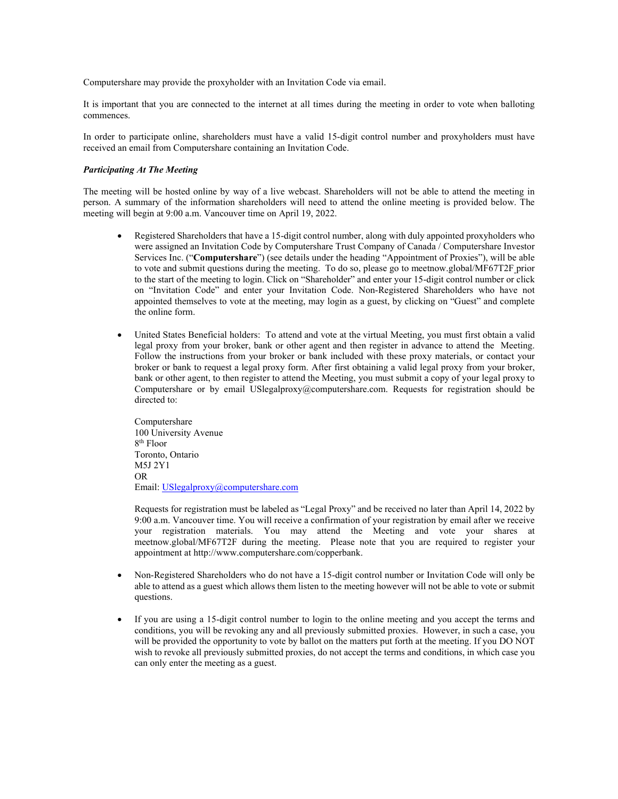Computershare may provide the proxyholder with an Invitation Code via email.

It is important that you are connected to the internet at all times during the meeting in order to vote when balloting commences.

In order to participate online, shareholders must have a valid 15-digit control number and proxyholders must have received an email from Computershare containing an Invitation Code.

#### *Participating At The Meeting*

The meeting will be hosted online by way of a live webcast. Shareholders will not be able to attend the meeting in person. A summary of the information shareholders will need to attend the online meeting is provided below. The meeting will begin at 9:00 a.m. Vancouver time on April 19, 2022.

- Registered Shareholders that have a 15-digit control number, along with duly appointed proxyholders who were assigned an Invitation Code by Computershare Trust Company of Canada / Computershare Investor Services Inc. ("**Computershare**") (see details under the heading "Appointment of Proxies"), will be able to vote and submit questions during the meeting. To do so, please go to meetnow.global/MF67T2F prior to the start of the meeting to login. Click on "Shareholder" and enter your 15-digit control number or click on "Invitation Code" and enter your Invitation Code. Non-Registered Shareholders who have not appointed themselves to vote at the meeting, may login as a guest, by clicking on "Guest" and complete the online form.
- United States Beneficial holders: To attend and vote at the virtual Meeting, you must first obtain a valid legal proxy from your broker, bank or other agent and then register in advance to attend the Meeting. Follow the instructions from your broker or bank included with these proxy materials, or contact your broker or bank to request a legal proxy form. After first obtaining a valid legal proxy from your broker, bank or other agent, to then register to attend the Meeting, you must submit a copy of your legal proxy to Computershare or by email USlegalproxy@computershare.com. Requests for registration should be directed to:

Computershare 100 University Avenue 8 th Floor Toronto, Ontario M5J 2Y1 OR Email: USlegalproxy@computershare.com

Requests for registration must be labeled as "Legal Proxy" and be received no later than April 14, 2022 by 9:00 a.m. Vancouver time. You will receive a confirmation of your registration by email after we receive your registration materials. You may attend the Meeting and vote your shares at meetnow.global/MF67T2F during the meeting. Please note that you are required to register your appointment at http://www.computershare.com/copperbank.

- Non-Registered Shareholders who do not have a 15-digit control number or Invitation Code will only be able to attend as a guest which allows them listen to the meeting however will not be able to vote or submit questions.
- If you are using a 15-digit control number to login to the online meeting and you accept the terms and conditions, you will be revoking any and all previously submitted proxies. However, in such a case, you will be provided the opportunity to vote by ballot on the matters put forth at the meeting. If you DO NOT wish to revoke all previously submitted proxies, do not accept the terms and conditions, in which case you can only enter the meeting as a guest.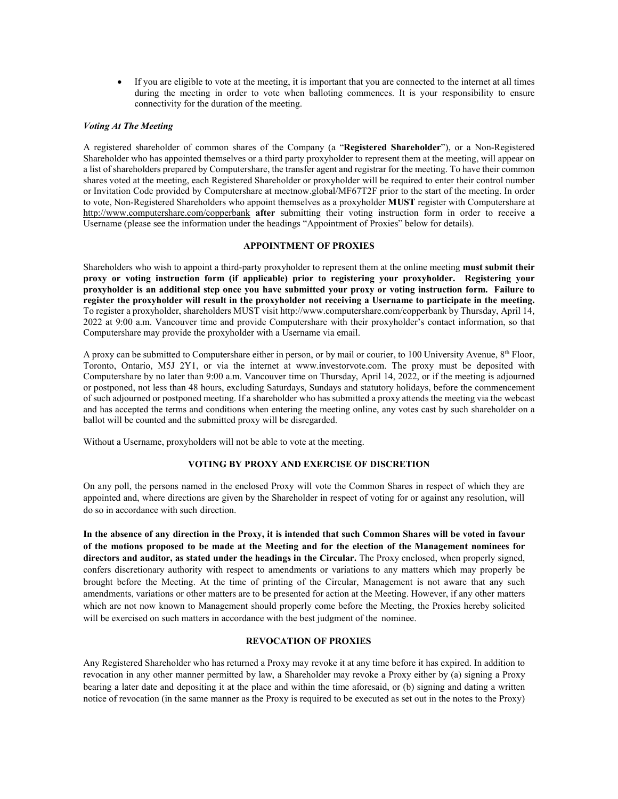If you are eligible to vote at the meeting, it is important that you are connected to the internet at all times during the meeting in order to vote when balloting commences. It is your responsibility to ensure connectivity for the duration of the meeting.

## *Voting At The Meeting*

A registered shareholder of common shares of the Company (a "**Registered Shareholder**"), or a Non-Registered Shareholder who has appointed themselves or a third party proxyholder to represent them at the meeting, will appear on a list of shareholders prepared by Computershare, the transfer agent and registrar for the meeting. To have their common shares voted at the meeting, each Registered Shareholder or proxyholder will be required to enter their control number or Invitation Code provided by Computershare at meetnow.global/MF67T2F prior to the start of the meeting. In order to vote, Non-Registered Shareholders who appoint themselves as a proxyholder **MUST** register with Computershare at http://www.computershare.com/copperbank **after** submitting their voting instruction form in order to receive a Username (please see the information under the headings "Appointment of Proxies" below for details).

# **APPOINTMENT OF PROXIES**

Shareholders who wish to appoint a third-party proxyholder to represent them at the online meeting **must submit their proxy or voting instruction form (if applicable) prior to registering your proxyholder. Registering your proxyholder is an additional step once you have submitted your proxy or voting instruction form. Failure to register the proxyholder will result in the proxyholder not receiving a Username to participate in the meeting.**  To register a proxyholder, shareholders MUST visit http://www.computershare.com/copperbank by Thursday, April 14, 2022 at 9:00 a.m. Vancouver time and provide Computershare with their proxyholder's contact information, so that Computershare may provide the proxyholder with a Username via email.

A proxy can be submitted to Computershare either in person, or by mail or courier, to 100 University Avenue, 8th Floor, Toronto, Ontario, M5J 2Y1, or via the internet at www.investorvote.com. The proxy must be deposited with Computershare by no later than 9:00 a.m. Vancouver time on Thursday, April 14, 2022, or if the meeting is adjourned or postponed, not less than 48 hours, excluding Saturdays, Sundays and statutory holidays, before the commencement of such adjourned or postponed meeting. If a shareholder who has submitted a proxy attends the meeting via the webcast and has accepted the terms and conditions when entering the meeting online, any votes cast by such shareholder on a ballot will be counted and the submitted proxy will be disregarded.

Without a Username, proxyholders will not be able to vote at the meeting.

# **VOTING BY PROXY AND EXERCISE OF DISCRETION**

On any poll, the persons named in the enclosed Proxy will vote the Common Shares in respect of which they are appointed and, where directions are given by the Shareholder in respect of voting for or against any resolution, will do so in accordance with such direction.

**In the absence of any direction in the Proxy, it is intended that such Common Shares will be voted in favour of the motions proposed to be made at the Meeting and for the election of the Management nominees for directors and auditor, as stated under the headings in the Circular.** The Proxy enclosed, when properly signed, confers discretionary authority with respect to amendments or variations to any matters which may properly be brought before the Meeting. At the time of printing of the Circular, Management is not aware that any such amendments, variations or other matters are to be presented for action at the Meeting. However, if any other matters which are not now known to Management should properly come before the Meeting, the Proxies hereby solicited will be exercised on such matters in accordance with the best judgment of the nominee.

# **REVOCATION OF PROXIES**

Any Registered Shareholder who has returned a Proxy may revoke it at any time before it has expired. In addition to revocation in any other manner permitted by law, a Shareholder may revoke a Proxy either by (a) signing a Proxy bearing a later date and depositing it at the place and within the time aforesaid, or (b) signing and dating a written notice of revocation (in the same manner as the Proxy is required to be executed as set out in the notes to the Proxy)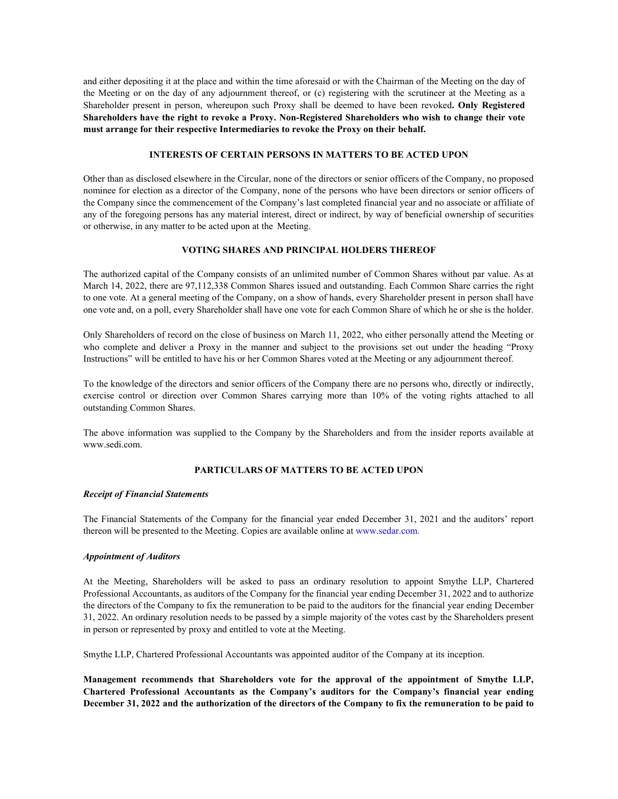and either depositing it at the place and within the time aforesaid or with the Chairman of the Meeting on the day of the Meeting or on the day of any adjournment thereof, or (c) registering with the scrutineer at the Meeting as a Shareholder present in person, whereupon such Proxy shall be deemed to have been revoked**. Only Registered Shareholders have the right to revoke a Proxy. Non-Registered Shareholders who wish to change their vote must arrange for their respective Intermediaries to revoke the Proxy on their behalf.**

## **INTERESTS OF CERTAIN PERSONS IN MATTERS TO BE ACTED UPON**

Other than as disclosed elsewhere in the Circular, none of the directors or senior officers of the Company, no proposed nominee for election as a director of the Company, none of the persons who have been directors or senior officers of the Company since the commencement of the Company's last completed financial year and no associate or affiliate of any of the foregoing persons has any material interest, direct or indirect, by way of beneficial ownership of securities or otherwise, in any matter to be acted upon at the Meeting.

# **VOTING SHARES AND PRINCIPAL HOLDERS THEREOF**

The authorized capital of the Company consists of an unlimited number of Common Shares without par value. As at March 14, 2022, there are 97,112,338 Common Shares issued and outstanding. Each Common Share carries the right to one vote. At a general meeting of the Company, on a show of hands, every Shareholder present in person shall have one vote and, on a poll, every Shareholder shall have one vote for each Common Share of which he or she is the holder.

Only Shareholders of record on the close of business on March 11, 2022, who either personally attend the Meeting or who complete and deliver a Proxy in the manner and subject to the provisions set out under the heading "Proxy Instructions" will be entitled to have his or her Common Shares voted at the Meeting or any adjournment thereof.

To the knowledge of the directors and senior officers of the Company there are no persons who, directly or indirectly, exercise control or direction over Common Shares carrying more than 10% of the voting rights attached to all outstanding Common Shares.

The above information was supplied to the Company by the Shareholders and from the insider reports available at www.sedi.com.

# **PARTICULARS OF MATTERS TO BE ACTED UPON**

#### *Receipt of Financial Statements*

The Financial Statements of the Company for the financial year ended December 31, 2021 and the auditors' report thereon will be presented to the Meeting. Copies are available online at www.sedar.com.

#### *Appointment of Auditors*

At the Meeting, Shareholders will be asked to pass an ordinary resolution to appoint Smythe LLP, Chartered Professional Accountants, as auditors of the Company for the financial year ending December 31, 2022 and to authorize the directors of the Company to fix the remuneration to be paid to the auditors for the financial year ending December 31, 2022. An ordinary resolution needs to be passed by a simple majority of the votes cast by the Shareholders present in person or represented by proxy and entitled to vote at the Meeting.

Smythe LLP, Chartered Professional Accountants was appointed auditor of the Company at its inception.

**Management recommends that Shareholders vote for the approval of the appointment of Smythe LLP, Chartered Professional Accountants as the Company's auditors for the Company's financial year ending December 31, 2022 and the authorization of the directors of the Company to fix the remuneration to be paid to**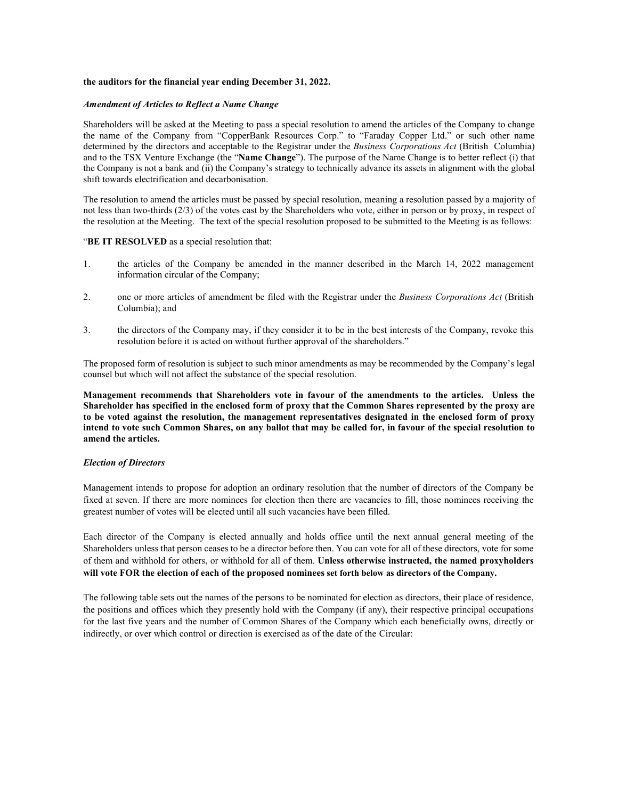#### **the auditors for the financial year ending December 31, 2022.**

#### *Amendment of Articles to Reflect a Name Change*

Shareholders will be asked at the Meeting to pass a special resolution to amend the articles of the Company to change the name of the Company from "CopperBank Resources Corp." to "Faraday Copper Ltd." or such other name determined by the directors and acceptable to the Registrar under the *Business Corporations Act* (British Columbia) and to the TSX Venture Exchange (the "**Name Change**"). The purpose of the Name Change is to better reflect (i) that the Company is not a bank and (ii) the Company's strategy to technically advance its assets in alignment with the global shift towards electrification and decarbonisation.

The resolution to amend the articles must be passed by special resolution, meaning a resolution passed by a majority of not less than two-thirds (2/3) of the votes cast by the Shareholders who vote, either in person or by proxy, in respect of the resolution at the Meeting. The text of the special resolution proposed to be submitted to the Meeting is as follows:

#### "**BE IT RESOLVED** as a special resolution that:

- 1. the articles of the Company be amended in the manner described in the March 14, 2022 management information circular of the Company;
- 2. one or more articles of amendment be filed with the Registrar under the *Business Corporations Act* (British Columbia); and
- 3. the directors of the Company may, if they consider it to be in the best interests of the Company, revoke this resolution before it is acted on without further approval of the shareholders."

The proposed form of resolution is subject to such minor amendments as may be recommended by the Company's legal counsel but which will not affect the substance of the special resolution.

**Management recommends that Shareholders vote in favour of the amendments to the articles. Unless the Shareholder has specified in the enclosed form of proxy that the Common Shares represented by the proxy are to be voted against the resolution, the management representatives designated in the enclosed form of proxy intend to vote such Common Shares, on any ballot that may be called for, in favour of the special resolution to amend the articles.**

# *Election of Directors*

Management intends to propose for adoption an ordinary resolution that the number of directors of the Company be fixed at seven. If there are more nominees for election then there are vacancies to fill, those nominees receiving the greatest number of votes will be elected until all such vacancies have been filled.

Each director of the Company is elected annually and holds office until the next annual general meeting of the Shareholders unless that person ceases to be a director before then. You can vote for all of these directors, vote for some of them and withhold for others, or withhold for all of them. **Unless otherwise instructed, the named proxyholders will vote FOR the election of each of the proposed nominees set forth below as directors of the Company.**

The following table sets out the names of the persons to be nominated for election as directors, their place of residence, the positions and offices which they presently hold with the Company (if any), their respective principal occupations for the last five years and the number of Common Shares of the Company which each beneficially owns, directly or indirectly, or over which control or direction is exercised as of the date of the Circular: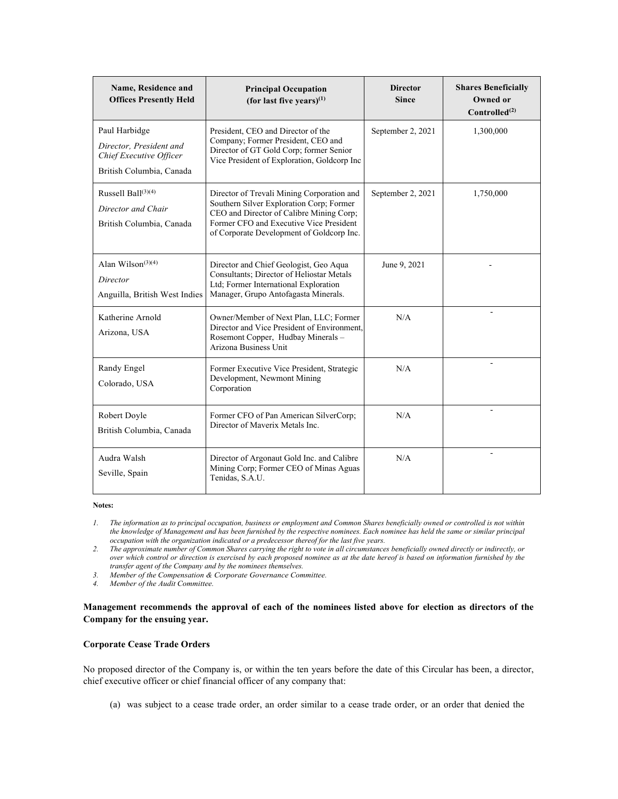| Name, Residence and<br><b>Offices Presently Held</b>                                            | <b>Principal Occupation</b><br>(for last five years) $(1)$                                                                                                                                                                 | <b>Director</b><br><b>Since</b> | <b>Shares Beneficially</b><br><b>Owned or</b><br>Controlled <sup>(2)</sup> |
|-------------------------------------------------------------------------------------------------|----------------------------------------------------------------------------------------------------------------------------------------------------------------------------------------------------------------------------|---------------------------------|----------------------------------------------------------------------------|
| Paul Harbidge<br>Director, President and<br>Chief Executive Officer<br>British Columbia, Canada | President, CEO and Director of the<br>Company; Former President, CEO and<br>Director of GT Gold Corp; former Senior<br>Vice President of Exploration, Goldcorp Inc                                                         | September 2, 2021               | 1,300,000                                                                  |
| Russell Ball $(3)(4)$<br>Director and Chair<br>British Columbia, Canada                         | Director of Trevali Mining Corporation and<br>Southern Silver Exploration Corp; Former<br>CEO and Director of Calibre Mining Corp;<br>Former CFO and Executive Vice President<br>of Corporate Development of Goldcorp Inc. | September 2, 2021               | 1,750,000                                                                  |
| Alan Wilson <sup><math>(3)(4)</math></sup><br>Director<br>Anguilla, British West Indies         | Director and Chief Geologist, Geo Aqua<br>Consultants; Director of Heliostar Metals<br>Ltd; Former International Exploration<br>Manager, Grupo Antofagasta Minerals.                                                       | June 9, 2021                    |                                                                            |
| Katherine Arnold<br>Arizona, USA                                                                | Owner/Member of Next Plan, LLC; Former<br>Director and Vice President of Environment,<br>Rosemont Copper, Hudbay Minerals -<br>Arizona Business Unit                                                                       | N/A                             |                                                                            |
| Randy Engel<br>Colorado, USA                                                                    | Former Executive Vice President, Strategic<br>Development, Newmont Mining<br>Corporation                                                                                                                                   | N/A                             |                                                                            |
| Robert Doyle<br>British Columbia, Canada                                                        | Former CFO of Pan American SilverCorp;<br>Director of Maverix Metals Inc.                                                                                                                                                  | N/A                             |                                                                            |
| Audra Walsh<br>Seville, Spain                                                                   | Director of Argonaut Gold Inc. and Calibre<br>Mining Corp; Former CEO of Minas Aguas<br>Tenidas, S.A.U.                                                                                                                    | N/A                             |                                                                            |

*1. The information as to principal occupation, business or employment and Common Shares beneficially owned or controlled is not within the knowledge of Management and has been furnished by the respective nominees. Each nominee has held the same or similar principal occupation with the organization indicated or a predecessor thereof for the last five years.*

*2. The approximate number of Common Shares carrying the right to vote in all circumstances beneficially owned directly or indirectly, or over which control or direction is exercised by each proposed nominee as at the date hereof is based on information furnished by the transfer agent of the Company and by the nominees themselves.*

*3. Member of the Compensation & Corporate Governance Committee.*

*4. Member of the Audit Committee.*

**Management recommends the approval of each of the nominees listed above for election as directors of the Company for the ensuing year.**

# **Corporate Cease Trade Orders**

No proposed director of the Company is, or within the ten years before the date of this Circular has been, a director, chief executive officer or chief financial officer of any company that:

(a) was subject to a cease trade order, an order similar to a cease trade order, or an order that denied the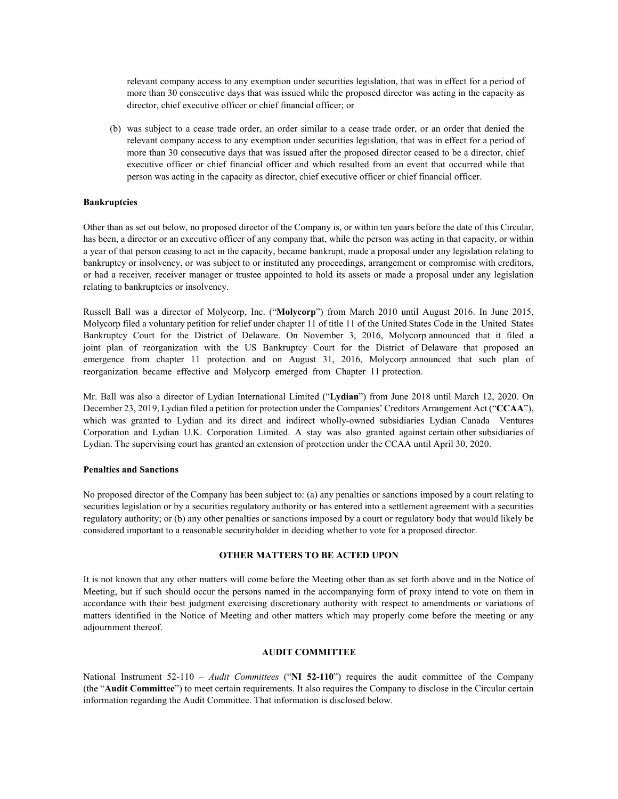relevant company access to any exemption under securities legislation, that was in effect for a period of more than 30 consecutive days that was issued while the proposed director was acting in the capacity as director, chief executive officer or chief financial officer; or

(b) was subject to a cease trade order, an order similar to a cease trade order, or an order that denied the relevant company access to any exemption under securities legislation, that was in effect for a period of more than 30 consecutive days that was issued after the proposed director ceased to be a director, chief executive officer or chief financial officer and which resulted from an event that occurred while that person was acting in the capacity as director, chief executive officer or chief financial officer.

#### **Bankruptcies**

Other than as set out below, no proposed director of the Company is, or within ten years before the date of this Circular, has been, a director or an executive officer of any company that, while the person was acting in that capacity, or within a year of that person ceasing to act in the capacity, became bankrupt, made a proposal under any legislation relating to bankruptcy or insolvency, or was subject to or instituted any proceedings, arrangement or compromise with creditors, or had a receiver, receiver manager or trustee appointed to hold its assets or made a proposal under any legislation relating to bankruptcies or insolvency.

Russell Ball was a director of Molycorp, Inc. ("**Molycorp**") from March 2010 until August 2016. In June 2015, Molycorp filed a voluntary petition for relief under chapter 11 of title 11 of the United States Code in the United States Bankruptcy Court for the District of Delaware. On November 3, 2016, Molycorp announced that it filed a joint plan of reorganization with the US Bankruptcy Court for the District of Delaware that proposed an emergence from chapter 11 protection and on August 31, 2016, Molycorp announced that such plan of reorganization became effective and Molycorp emerged from Chapter 11 protection.

Mr. Ball was also a director of Lydian International Limited ("**Lydian**") from June 2018 until March 12, 2020. On December 23, 2019, Lydian filed a petition for protection under the Companies' Creditors Arrangement Act ("**CCAA**"), which was granted to Lydian and its direct and indirect wholly-owned subsidiaries Lydian Canada Ventures Corporation and Lydian U.K. Corporation Limited. A stay was also granted against certain other subsidiaries of Lydian. The supervising court has granted an extension of protection under the CCAA until April 30, 2020.

#### **Penalties and Sanctions**

No proposed director of the Company has been subject to: (a) any penalties or sanctions imposed by a court relating to securities legislation or by a securities regulatory authority or has entered into a settlement agreement with a securities regulatory authority; or (b) any other penalties or sanctions imposed by a court or regulatory body that would likely be considered important to a reasonable securityholder in deciding whether to vote for a proposed director.

# **OTHER MATTERS TO BE ACTED UPON**

It is not known that any other matters will come before the Meeting other than as set forth above and in the Notice of Meeting, but if such should occur the persons named in the accompanying form of proxy intend to vote on them in accordance with their best judgment exercising discretionary authority with respect to amendments or variations of matters identified in the Notice of Meeting and other matters which may properly come before the meeting or any adjournment thereof.

#### **AUDIT COMMITTEE**

National Instrument 52-110 – *Audit Committees* ("**NI 52-110**") requires the audit committee of the Company (the "**Audit Committee**") to meet certain requirements. It also requires the Company to disclose in the Circular certain information regarding the Audit Committee. That information is disclosed below.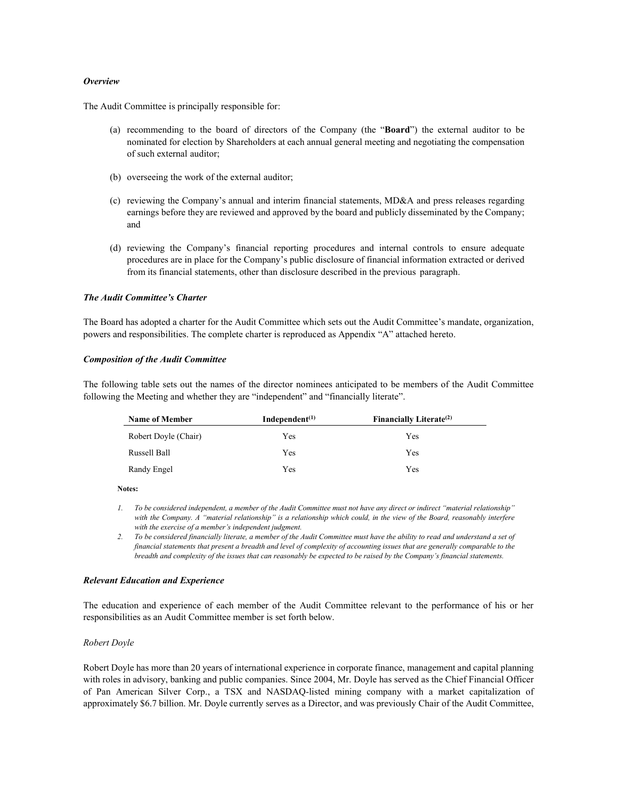#### *Overview*

The Audit Committee is principally responsible for:

- (a) recommending to the board of directors of the Company (the "**Board**") the external auditor to be nominated for election by Shareholders at each annual general meeting and negotiating the compensation of such external auditor;
- (b) overseeing the work of the external auditor;
- (c) reviewing the Company's annual and interim financial statements, MD&A and press releases regarding earnings before they are reviewed and approved by the board and publicly disseminated by the Company; and
- (d) reviewing the Company's financial reporting procedures and internal controls to ensure adequate procedures are in place for the Company's public disclosure of financial information extracted or derived from its financial statements, other than disclosure described in the previous paragraph.

#### *The Audit Committee's Charter*

The Board has adopted a charter for the Audit Committee which sets out the Audit Committee's mandate, organization, powers and responsibilities. The complete charter is reproduced as Appendix "A" attached hereto.

#### *Composition of the Audit Committee*

The following table sets out the names of the director nominees anticipated to be members of the Audit Committee following the Meeting and whether they are "independent" and "financially literate".

| <b>Name of Member</b> | Independent $(1)$ | Financially Literate <sup>(2)</sup> |
|-----------------------|-------------------|-------------------------------------|
| Robert Doyle (Chair)  | Yes               | Yes                                 |
| Russell Ball          | Yes               | Yes                                 |
| Randy Engel           | Yes               | Yes                                 |

**Notes:**

*1. To be considered independent, a member of the Audit Committee must not have any direct or indirect "material relationship" with the Company. A "material relationship" is a relationship which could, in the view of the Board, reasonably interfere with the exercise of a member's independent judgment.*

*2. To be considered financially literate, a member of the Audit Committee must have the ability to read and understand a set of financial statements that present a breadth and level of complexity of accounting issues that are generally comparable to the breadth and complexity of the issues that can reasonably be expected to be raised by the Company's financial statements.* 

#### *Relevant Education and Experience*

The education and experience of each member of the Audit Committee relevant to the performance of his or her responsibilities as an Audit Committee member is set forth below.

#### *Robert Doyle*

Robert Doyle has more than 20 years of international experience in corporate finance, management and capital planning with roles in advisory, banking and public companies. Since 2004, Mr. Doyle has served as the Chief Financial Officer of Pan American Silver Corp., a TSX and NASDAQ-listed mining company with a market capitalization of approximately \$6.7 billion. Mr. Doyle currently serves as a Director, and was previously Chair of the Audit Committee,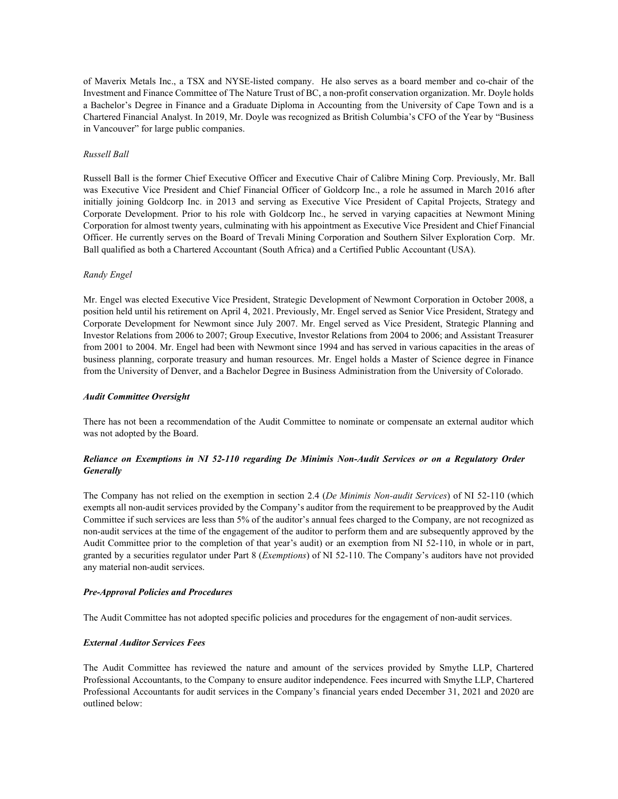of Maverix Metals Inc., a TSX and NYSE-listed company. He also serves as a board member and co-chair of the Investment and Finance Committee of The Nature Trust of BC, a non-profit conservation organization. Mr. Doyle holds a Bachelor's Degree in Finance and a Graduate Diploma in Accounting from the University of Cape Town and is a Chartered Financial Analyst. In 2019, Mr. Doyle was recognized as British Columbia's CFO of the Year by "Business in Vancouver" for large public companies.

## *Russell Ball*

Russell Ball is the former Chief Executive Officer and Executive Chair of Calibre Mining Corp. Previously, Mr. Ball was Executive Vice President and Chief Financial Officer of Goldcorp Inc., a role he assumed in March 2016 after initially joining Goldcorp Inc. in 2013 and serving as Executive Vice President of Capital Projects, Strategy and Corporate Development. Prior to his role with Goldcorp Inc., he served in varying capacities at Newmont Mining Corporation for almost twenty years, culminating with his appointment as Executive Vice President and Chief Financial Officer. He currently serves on the Board of Trevali Mining Corporation and Southern Silver Exploration Corp. Mr. Ball qualified as both a Chartered Accountant (South Africa) and a Certified Public Accountant (USA).

#### *Randy Engel*

Mr. Engel was elected Executive Vice President, Strategic Development of Newmont Corporation in October 2008, a position held until his retirement on April 4, 2021. Previously, Mr. Engel served as Senior Vice President, Strategy and Corporate Development for Newmont since July 2007. Mr. Engel served as Vice President, Strategic Planning and Investor Relations from 2006 to 2007; Group Executive, Investor Relations from 2004 to 2006; and Assistant Treasurer from 2001 to 2004. Mr. Engel had been with Newmont since 1994 and has served in various capacities in the areas of business planning, corporate treasury and human resources. Mr. Engel holds a Master of Science degree in Finance from the University of Denver, and a Bachelor Degree in Business Administration from the University of Colorado.

#### *Audit Committee Oversight*

There has not been a recommendation of the Audit Committee to nominate or compensate an external auditor which was not adopted by the Board.

# *Reliance on Exemptions in NI 52-110 regarding De Minimis Non-Audit Services or on a Regulatory Order Generally*

The Company has not relied on the exemption in section 2.4 (*De Minimis Non-audit Services*) of NI 52-110 (which exempts all non-audit services provided by the Company's auditor from the requirement to be preapproved by the Audit Committee if such services are less than 5% of the auditor's annual fees charged to the Company, are not recognized as non-audit services at the time of the engagement of the auditor to perform them and are subsequently approved by the Audit Committee prior to the completion of that year's audit) or an exemption from NI 52-110, in whole or in part, granted by a securities regulator under Part 8 (*Exemptions*) of NI 52-110. The Company's auditors have not provided any material non-audit services.

#### *Pre-Approval Policies and Procedures*

The Audit Committee has not adopted specific policies and procedures for the engagement of non-audit services.

# *External Auditor Services Fees*

The Audit Committee has reviewed the nature and amount of the services provided by Smythe LLP, Chartered Professional Accountants, to the Company to ensure auditor independence. Fees incurred with Smythe LLP, Chartered Professional Accountants for audit services in the Company's financial years ended December 31, 2021 and 2020 are outlined below: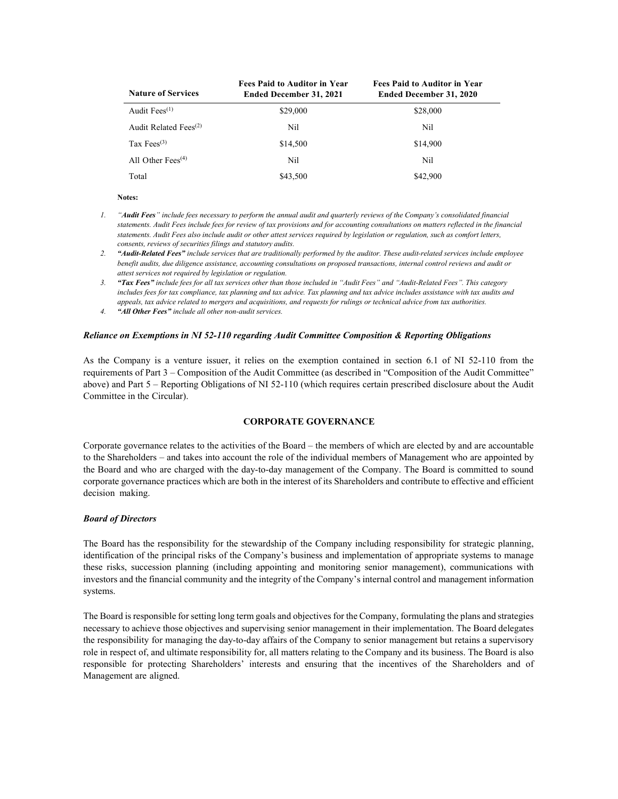| <b>Nature of Services</b> | <b>Fees Paid to Auditor in Year</b><br><b>Ended December 31, 2021</b> | <b>Fees Paid to Auditor in Year</b><br><b>Ended December 31, 2020</b> |
|---------------------------|-----------------------------------------------------------------------|-----------------------------------------------------------------------|
| Audit Fees $(1)$          | \$29,000                                                              | \$28,000                                                              |
| Audit Related Fees $(2)$  | Nil                                                                   | Nil                                                                   |
| Tax Fees $^{(3)}$         | \$14,500                                                              | \$14,900                                                              |
| All Other Fees $(4)$      | Nil                                                                   | Nil                                                                   |
| Total                     | \$43,500                                                              | \$42,900                                                              |

- *1. "Audit Fees" include fees necessary to perform the annual audit and quarterly reviews of the Company's consolidated financial statements. Audit Fees include fees for review of tax provisions and for accounting consultations on matters reflected in the financial statements. Audit Fees also include audit or other attest services required by legislation or regulation, such as comfort letters, consents, reviews of securities filings and statutory audits.*
- *2. "Audit-Related Fees" include services that are traditionally performed by the auditor. These audit-related services include employee benefit audits, due diligence assistance, accounting consultations on proposed transactions, internal control reviews and audit or attest services not required by legislation or regulation.*
- *3. "Tax Fees" include fees for all tax services other than those included in "Audit Fees" and "Audit-Related Fees". This category includes fees for tax compliance, tax planning and tax advice. Tax planning and tax advice includes assistance with tax audits and appeals, tax advice related to mergers and acquisitions, and requests for rulings or technical advice from tax authorities.*
- *4. "All Other Fees" include all other non-audit services.*

## *Reliance on Exemptions in NI 52-110 regarding Audit Committee Composition & Reporting Obligations*

As the Company is a venture issuer, it relies on the exemption contained in section 6.1 of NI 52-110 from the requirements of Part 3 – Composition of the Audit Committee (as described in "Composition of the Audit Committee" above) and Part 5 – Reporting Obligations of NI 52-110 (which requires certain prescribed disclosure about the Audit Committee in the Circular).

## **CORPORATE GOVERNANCE**

Corporate governance relates to the activities of the Board – the members of which are elected by and are accountable to the Shareholders – and takes into account the role of the individual members of Management who are appointed by the Board and who are charged with the day-to-day management of the Company. The Board is committed to sound corporate governance practices which are both in the interest of its Shareholders and contribute to effective and efficient decision making.

#### *Board of Directors*

The Board has the responsibility for the stewardship of the Company including responsibility for strategic planning, identification of the principal risks of the Company's business and implementation of appropriate systems to manage these risks, succession planning (including appointing and monitoring senior management), communications with investors and the financial community and the integrity of the Company's internal control and management information systems.

The Board is responsible for setting long term goals and objectives for the Company, formulating the plans and strategies necessary to achieve those objectives and supervising senior management in their implementation. The Board delegates the responsibility for managing the day-to-day affairs of the Company to senior management but retains a supervisory role in respect of, and ultimate responsibility for, all matters relating to the Company and its business. The Board is also responsible for protecting Shareholders' interests and ensuring that the incentives of the Shareholders and of Management are aligned.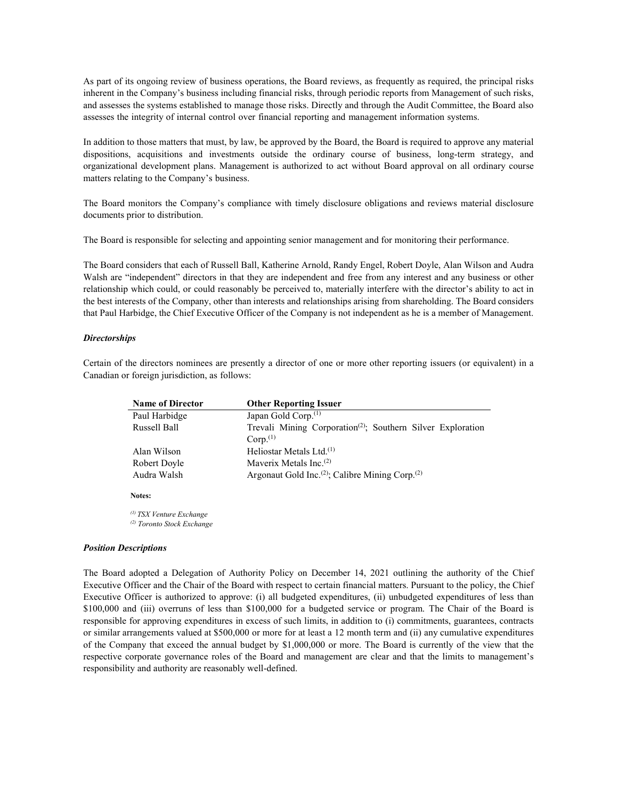As part of its ongoing review of business operations, the Board reviews, as frequently as required, the principal risks inherent in the Company's business including financial risks, through periodic reports from Management of such risks, and assesses the systems established to manage those risks. Directly and through the Audit Committee, the Board also assesses the integrity of internal control over financial reporting and management information systems.

In addition to those matters that must, by law, be approved by the Board, the Board is required to approve any material dispositions, acquisitions and investments outside the ordinary course of business, long-term strategy, and organizational development plans. Management is authorized to act without Board approval on all ordinary course matters relating to the Company's business.

The Board monitors the Company's compliance with timely disclosure obligations and reviews material disclosure documents prior to distribution.

The Board is responsible for selecting and appointing senior management and for monitoring their performance.

The Board considers that each of Russell Ball, Katherine Arnold, Randy Engel, Robert Doyle, Alan Wilson and Audra Walsh are "independent" directors in that they are independent and free from any interest and any business or other relationship which could, or could reasonably be perceived to, materially interfere with the director's ability to act in the best interests of the Company, other than interests and relationships arising from shareholding. The Board considers that Paul Harbidge, the Chief Executive Officer of the Company is not independent as he is a member of Management.

#### *Directorships*

Certain of the directors nominees are presently a director of one or more other reporting issuers (or equivalent) in a Canadian or foreign jurisdiction, as follows:

| <b>Name of Director</b> | <b>Other Reporting Issuer</b>                                           |
|-------------------------|-------------------------------------------------------------------------|
| Paul Harbidge           | Japan Gold Corp. <sup>(1)</sup>                                         |
| Russell Ball            | Trevali Mining Corporation <sup>(2)</sup> ; Southern Silver Exploration |
|                         | Corp. <sup>(1)</sup>                                                    |
| Alan Wilson             | Heliostar Metals Ltd. <sup>(1)</sup>                                    |
| Robert Doyle            | Maverix Metals Inc. <sup>(2)</sup>                                      |
| Audra Walsh             | Argonaut Gold Inc. <sup>(2)</sup> ; Calibre Mining Corp. <sup>(2)</sup> |
|                         |                                                                         |

**Notes:**

*(1) TSX Venture Exchange (2) Toronto Stock Exchange*

#### *Position Descriptions*

The Board adopted a Delegation of Authority Policy on December 14, 2021 outlining the authority of the Chief Executive Officer and the Chair of the Board with respect to certain financial matters. Pursuant to the policy, the Chief Executive Officer is authorized to approve: (i) all budgeted expenditures, (ii) unbudgeted expenditures of less than \$100,000 and (iii) overruns of less than \$100,000 for a budgeted service or program. The Chair of the Board is responsible for approving expenditures in excess of such limits, in addition to (i) commitments, guarantees, contracts or similar arrangements valued at \$500,000 or more for at least a 12 month term and (ii) any cumulative expenditures of the Company that exceed the annual budget by \$1,000,000 or more. The Board is currently of the view that the respective corporate governance roles of the Board and management are clear and that the limits to management's responsibility and authority are reasonably well-defined.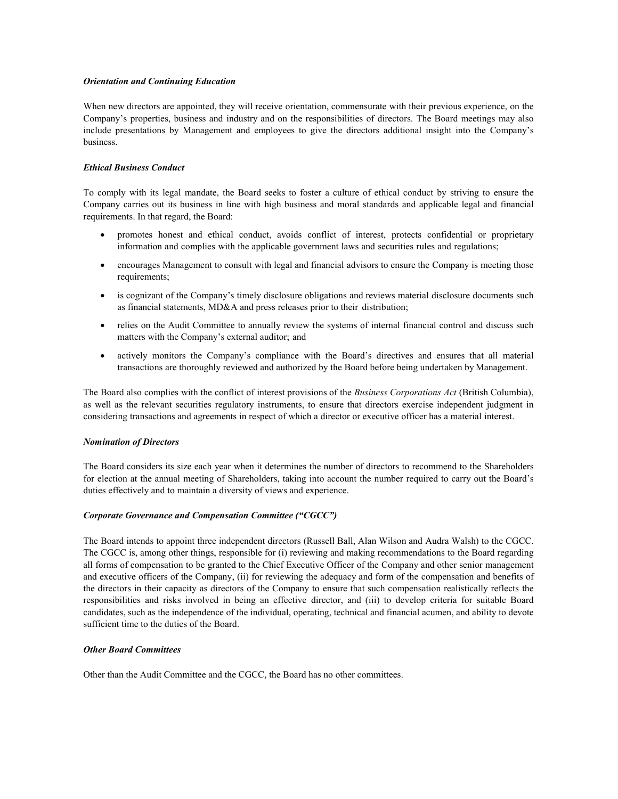# *Orientation and Continuing Education*

When new directors are appointed, they will receive orientation, commensurate with their previous experience, on the Company's properties, business and industry and on the responsibilities of directors. The Board meetings may also include presentations by Management and employees to give the directors additional insight into the Company's business.

## *Ethical Business Conduct*

To comply with its legal mandate, the Board seeks to foster a culture of ethical conduct by striving to ensure the Company carries out its business in line with high business and moral standards and applicable legal and financial requirements. In that regard, the Board:

- promotes honest and ethical conduct, avoids conflict of interest, protects confidential or proprietary information and complies with the applicable government laws and securities rules and regulations;
- encourages Management to consult with legal and financial advisors to ensure the Company is meeting those requirements;
- is cognizant of the Company's timely disclosure obligations and reviews material disclosure documents such as financial statements, MD&A and press releases prior to their distribution;
- relies on the Audit Committee to annually review the systems of internal financial control and discuss such matters with the Company's external auditor; and
- actively monitors the Company's compliance with the Board's directives and ensures that all material transactions are thoroughly reviewed and authorized by the Board before being undertaken by Management.

The Board also complies with the conflict of interest provisions of the *Business Corporations Act* (British Columbia), as well as the relevant securities regulatory instruments, to ensure that directors exercise independent judgment in considering transactions and agreements in respect of which a director or executive officer has a material interest.

#### *Nomination of Directors*

The Board considers its size each year when it determines the number of directors to recommend to the Shareholders for election at the annual meeting of Shareholders, taking into account the number required to carry out the Board's duties effectively and to maintain a diversity of views and experience.

# *Corporate Governance and Compensation Committee ("CGCC")*

The Board intends to appoint three independent directors (Russell Ball, Alan Wilson and Audra Walsh) to the CGCC. The CGCC is, among other things, responsible for (i) reviewing and making recommendations to the Board regarding all forms of compensation to be granted to the Chief Executive Officer of the Company and other senior management and executive officers of the Company, (ii) for reviewing the adequacy and form of the compensation and benefits of the directors in their capacity as directors of the Company to ensure that such compensation realistically reflects the responsibilities and risks involved in being an effective director, and (iii) to develop criteria for suitable Board candidates, such as the independence of the individual, operating, technical and financial acumen, and ability to devote sufficient time to the duties of the Board.

#### *Other Board Committees*

Other than the Audit Committee and the CGCC, the Board has no other committees.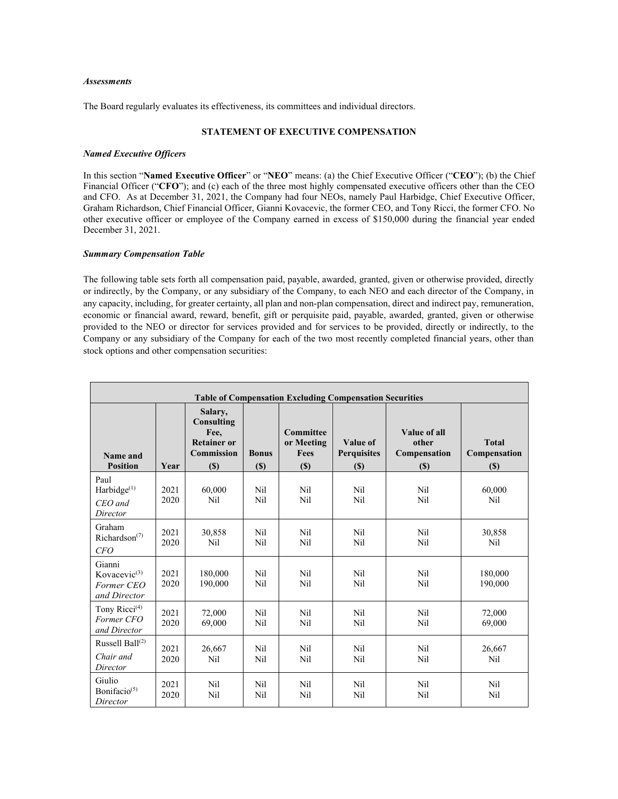#### *Assessments*

The Board regularly evaluates its effectiveness, its committees and individual directors.

# **STATEMENT OF EXECUTIVE COMPENSATION**

## *Named Executive Officers*

In this section "**Named Executive Officer**" or "**NEO**" means: (a) the Chief Executive Officer ("**CEO**"); (b) the Chief Financial Officer ("**CFO**"); and (c) each of the three most highly compensated executive officers other than the CEO and CFO. As at December 31, 2021, the Company had four NEOs, namely Paul Harbidge, Chief Executive Officer, Graham Richardson, Chief Financial Officer, Gianni Kovacevic, the former CEO, and Tony Ricci, the former CFO. No other executive officer or employee of the Company earned in excess of \$150,000 during the financial year ended December 31, 2021.

# *Summary Compensation Table*

The following table sets forth all compensation paid, payable, awarded, granted, given or otherwise provided, directly or indirectly, by the Company, or any subsidiary of the Company, to each NEO and each director of the Company, in any capacity, including, for greater certainty, all plan and non-plan compensation, direct and indirect pay, remuneration, economic or financial award, reward, benefit, gift or perquisite paid, payable, awarded, granted, given or otherwise provided to the NEO or director for services provided and for services to be provided, directly or indirectly, to the Company or any subsidiary of the Company for each of the two most recently completed financial years, other than stock options and other compensation securities:

| <b>Table of Compensation Excluding Compensation Securities</b>   |              |                                                                                 |                     |                                               |                                         |                                              |                                     |
|------------------------------------------------------------------|--------------|---------------------------------------------------------------------------------|---------------------|-----------------------------------------------|-----------------------------------------|----------------------------------------------|-------------------------------------|
| Name and<br><b>Position</b>                                      | Year         | Salary,<br>Consulting<br>Fee.<br><b>Retainer or</b><br><b>Commission</b><br>(S) | <b>Bonus</b><br>(S) | <b>Committee</b><br>or Meeting<br>Fees<br>(S) | Value of<br><b>Perquisites</b><br>$(s)$ | Value of all<br>other<br>Compensation<br>(S) | <b>Total</b><br>Compensation<br>(S) |
| Paul<br>Harbidge $^{(1)}$<br>$CEO$ and<br>Director               | 2021<br>2020 | 60,000<br>Nil                                                                   | Nil<br>Nil          | Nil<br>Nil                                    | Nil<br>Nil                              | Nil<br>Nil                                   | 60,000<br>Nil                       |
| Graham<br>Richardson <sup>(7)</sup><br><i>CFO</i>                | 2021<br>2020 | 30,858<br>Nil                                                                   | Nil<br>Nil          | Nil<br>Nil                                    | Nil<br>Nil                              | Nil<br>Nil                                   | 30,858<br>Nil                       |
| Gianni<br>Kovacevic <sup>(3)</sup><br>Former CEO<br>and Director | 2021<br>2020 | 180,000<br>190,000                                                              | Nil<br>Nil          | Nil<br>Nil                                    | Nil<br>Nil                              | Nil<br>Nil                                   | 180,000<br>190,000                  |
| Tony Ricci <sup>(4)</sup><br>Former CFO<br>and Director          | 2021<br>2020 | 72,000<br>69,000                                                                | Nil<br>Nil          | Nil<br>Nil                                    | Nil<br>Nil                              | Nil<br>Nil                                   | 72,000<br>69,000                    |
| Russell Ball $^{(2)}$<br>Chair and<br>Director                   | 2021<br>2020 | 26,667<br>Nil                                                                   | Nil<br>Nil          | Nil<br>Nil                                    | Nil<br>Nil                              | Nil<br>Nil                                   | 26,667<br>Nil                       |
| Giulio<br>Bonifacio <sup>(5)</sup><br>Director                   | 2021<br>2020 | Nil<br>Nil                                                                      | Nil<br>Nil          | Nil<br>Nil                                    | Nil<br>Nil                              | Nil<br>Nil                                   | Nil<br>Nil                          |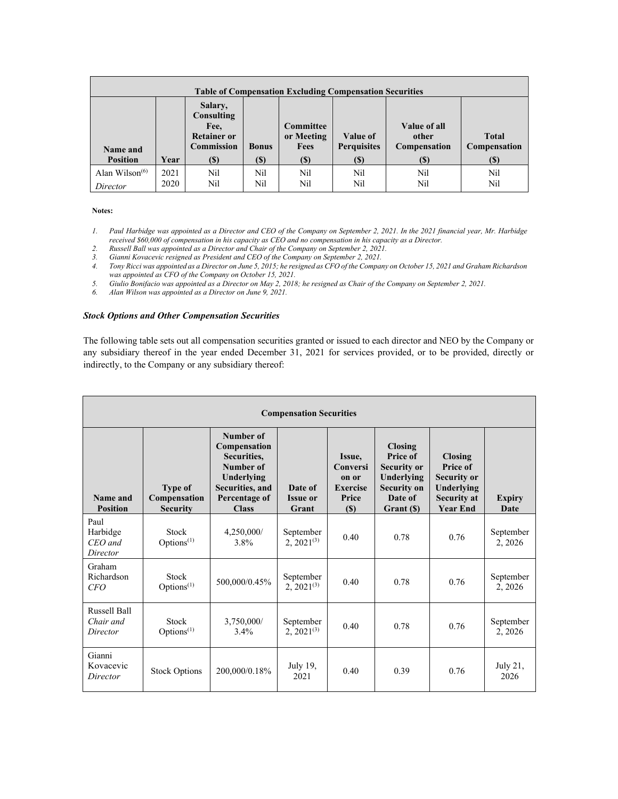| <b>Table of Compensation Excluding Compensation Securities</b> |      |                                                                                 |                                            |                                               |                                        |                                                     |                                                                   |  |
|----------------------------------------------------------------|------|---------------------------------------------------------------------------------|--------------------------------------------|-----------------------------------------------|----------------------------------------|-----------------------------------------------------|-------------------------------------------------------------------|--|
| Name and<br><b>Position</b>                                    | Year | Salary,<br>Consulting<br>Fee.<br><b>Retainer or</b><br><b>Commission</b><br>(S) | <b>Bonus</b><br>$\left( \mathbb{S}\right)$ | <b>Committee</b><br>or Meeting<br>Fees<br>(S) | Value of<br><b>Perquisites</b><br>(\$) | Value of all<br>other<br><b>Compensation</b><br>(S) | <b>Total</b><br><b>Compensation</b><br>$\left( \mathbb{S}\right)$ |  |
|                                                                |      |                                                                                 |                                            |                                               |                                        |                                                     |                                                                   |  |
| Alan Wilson $(6)$                                              | 2021 | Nil                                                                             | Nil                                        | Nil                                           | Nil                                    | Nil                                                 | Nil                                                               |  |
| Director                                                       | 2020 | Nil                                                                             | Nil                                        | Nil                                           | Nil                                    | Nil                                                 | Nil                                                               |  |

- *1. Paul Harbidge was appointed as a Director and CEO of the Company on September 2, 2021. In the 2021 financial year, Mr. Harbidge received \$60,000 of compensation in his capacity as CEO and no compensation in his capacity as a Director.*
- *2. Russell Ball was appointed as a Director and Chair of the Company on September 2, 2021.*
- *3. Gianni Kovacevic resigned as President and CEO of the Company on September 2, 2021.*
- *4. Tony Ricci was appointed as a Director on June 5, 2015; he resigned as CFO of the Company on October 15, 2021 and Graham Richardson was appointed as CFO of the Company on October 15, 2021.*
- *5. Giulio Bonifacio was appointed as a Director on May 2, 2018; he resigned as Chair of the Company on September 2, 2021.*
- *6. Alan Wilson was appointed as a Director on June 9, 2021.*

# *Stock Options and Other Compensation Securities*

The following table sets out all compensation securities granted or issued to each director and NEO by the Company or any subsidiary thereof in the year ended December 31, 2021 for services provided, or to be provided, directly or indirectly, to the Company or any subsidiary thereof:

| <b>Compensation Securities</b>               |                                                   |                                                                                                                         |                                     |                                                                |                                                                                                        |                                                                                                         |                       |  |
|----------------------------------------------|---------------------------------------------------|-------------------------------------------------------------------------------------------------------------------------|-------------------------------------|----------------------------------------------------------------|--------------------------------------------------------------------------------------------------------|---------------------------------------------------------------------------------------------------------|-----------------------|--|
| Name and<br><b>Position</b>                  | <b>Type of</b><br>Compensation<br><b>Security</b> | Number of<br>Compensation<br>Securities,<br>Number of<br>Underlying<br>Securities, and<br>Percentage of<br><b>Class</b> | Date of<br><b>Issue or</b><br>Grant | Issue,<br>Conversi<br>on or<br><b>Exercise</b><br>Price<br>(S) | Closing<br>Price of<br><b>Security or</b><br>Underlying<br><b>Security on</b><br>Date of<br>Grant (\$) | <b>Closing</b><br>Price of<br><b>Security or</b><br>Underlying<br><b>Security at</b><br><b>Year End</b> | <b>Expiry</b><br>Date |  |
| Paul<br>Harbidge<br>$CEO$ and<br>Director    | Stock<br>Options <sup>(1)</sup>                   | 4,250,000/<br>3.8%                                                                                                      | September<br>$2, 2021^{(3)}$        | 0.40                                                           | 0.78                                                                                                   | 0.76                                                                                                    | September<br>2, 2026  |  |
| Graham<br>Richardson<br><i>CFO</i>           | Stock<br>Options <sup>(1)</sup>                   | 500,000/0.45%                                                                                                           | September<br>$2, 2021^{(3)}$        | 0.40                                                           | 0.78                                                                                                   | 0.76                                                                                                    | September<br>2, 2026  |  |
| <b>Russell Ball</b><br>Chair and<br>Director | Stock<br>Options <sup>(1)</sup>                   | 3,750,000/<br>3.4%                                                                                                      | September<br>$2, 2021^{(3)}$        | 0.40                                                           | 0.78                                                                                                   | 0.76                                                                                                    | September<br>2, 2026  |  |
| Gianni<br>Kovacevic<br>Director              | <b>Stock Options</b>                              | 200,000/0.18%                                                                                                           | July 19,<br>2021                    | 0.40                                                           | 0.39                                                                                                   | 0.76                                                                                                    | July $21$ ,<br>2026   |  |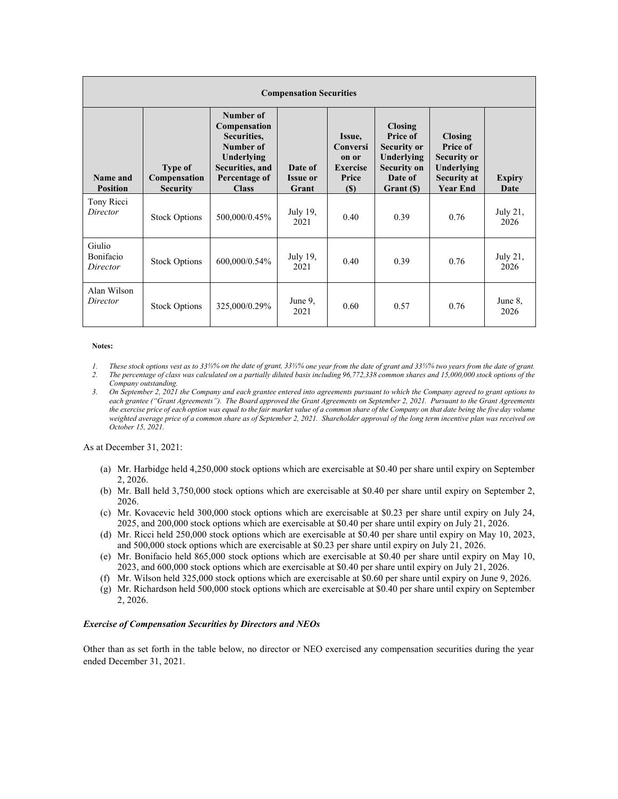| <b>Compensation Securities</b>  |                                                   |                                                                                                                         |                                     |                                                                |                                                                                                               |                                                                                                         |                       |
|---------------------------------|---------------------------------------------------|-------------------------------------------------------------------------------------------------------------------------|-------------------------------------|----------------------------------------------------------------|---------------------------------------------------------------------------------------------------------------|---------------------------------------------------------------------------------------------------------|-----------------------|
| Name and<br><b>Position</b>     | <b>Type of</b><br>Compensation<br><b>Security</b> | Number of<br>Compensation<br>Securities,<br>Number of<br>Underlying<br>Securities, and<br>Percentage of<br><b>Class</b> | Date of<br><b>Issue or</b><br>Grant | Issue,<br>Conversi<br>on or<br><b>Exercise</b><br>Price<br>(S) | <b>Closing</b><br>Price of<br><b>Security or</b><br>Underlying<br><b>Security on</b><br>Date of<br>Grant (\$) | <b>Closing</b><br>Price of<br><b>Security or</b><br>Underlying<br><b>Security at</b><br><b>Year End</b> | <b>Expiry</b><br>Date |
| Tony Ricci<br>Director          | <b>Stock Options</b>                              | 500,000/0.45%                                                                                                           | July 19,<br>2021                    | 0.40                                                           | 0.39                                                                                                          | 0.76                                                                                                    | July 21,<br>2026      |
| Giulio<br>Bonifacio<br>Director | <b>Stock Options</b>                              | 600,000/0.54%                                                                                                           | July 19,<br>2021                    | 0.40                                                           | 0.39                                                                                                          | 0.76                                                                                                    | July 21,<br>2026      |
| Alan Wilson<br>Director         | <b>Stock Options</b>                              | 325,000/0.29%                                                                                                           | June 9,<br>2021                     | 0.60                                                           | 0.57                                                                                                          | 0.76                                                                                                    | June 8,<br>2026       |

- *1. These stock options vest as to 33⅓% on the date of grant, 33⅓% one year from the date of grant and 33⅓% two years from the date of grant.*
- *2. The percentage of class was calculated on a partially diluted basis including 96,772,338 common shares and 15,000,000 stock options of the Company outstanding.*
- 3. On September 2, 2021 the Company and each grantee entered into agreements pursuant to which the Company agreed to grant options to *each grantee ("Grant Agreements"). The Board approved the Grant Agreements on September 2, 2021. Pursuant to the Grant Agreements*  the exercise price of each option was equal to the fair market value of a common share of the Company on that date being the five day volume *weighted average price of a common share as of September 2, 2021. Shareholder approval of the long term incentive plan was received on October 15, 2021.*

As at December 31, 2021:

- (a) Mr. Harbidge held 4,250,000 stock options which are exercisable at \$0.40 per share until expiry on September 2, 2026.
- (b) Mr. Ball held 3,750,000 stock options which are exercisable at \$0.40 per share until expiry on September 2, 2026.
- (c) Mr. Kovacevic held 300,000 stock options which are exercisable at \$0.23 per share until expiry on July 24, 2025, and 200,000 stock options which are exercisable at \$0.40 per share until expiry on July 21, 2026.
- (d) Mr. Ricci held 250,000 stock options which are exercisable at \$0.40 per share until expiry on May 10, 2023, and 500,000 stock options which are exercisable at \$0.23 per share until expiry on July 21, 2026.
- (e) Mr. Bonifacio held 865,000 stock options which are exercisable at \$0.40 per share until expiry on May 10, 2023, and 600,000 stock options which are exercisable at \$0.40 per share until expiry on July 21, 2026.
- (f) Mr. Wilson held 325,000 stock options which are exercisable at \$0.60 per share until expiry on June 9, 2026.
- (g) Mr. Richardson held 500,000 stock options which are exercisable at \$0.40 per share until expiry on September 2, 2026.

#### *Exercise of Compensation Securities by Directors and NEOs*

Other than as set forth in the table below, no director or NEO exercised any compensation securities during the year ended December 31, 2021.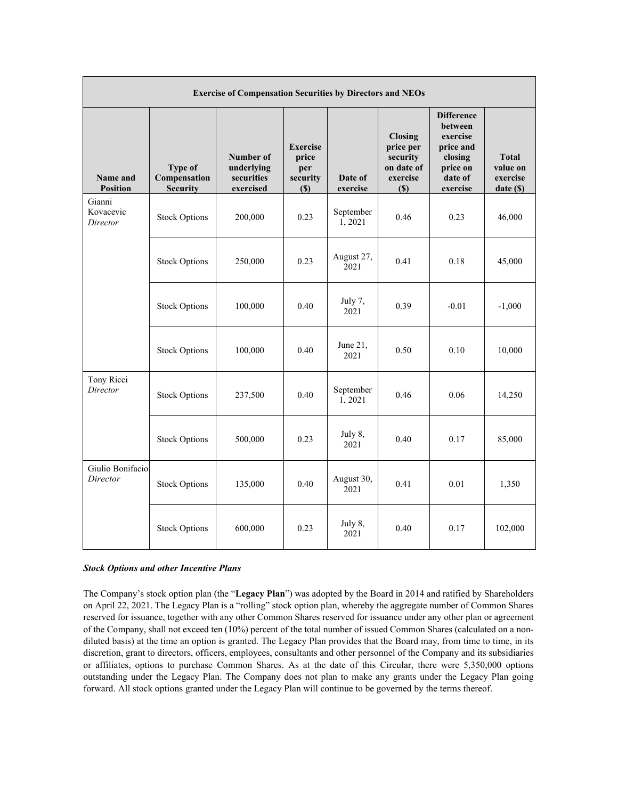| <b>Exercise of Compensation Securities by Directors and NEOs</b> |                                                   |                                                    |                                                           |                     |                                                                          |                                                                                                     |                                                 |
|------------------------------------------------------------------|---------------------------------------------------|----------------------------------------------------|-----------------------------------------------------------|---------------------|--------------------------------------------------------------------------|-----------------------------------------------------------------------------------------------------|-------------------------------------------------|
| Name and<br><b>Position</b>                                      | <b>Type of</b><br>Compensation<br><b>Security</b> | Number of<br>underlying<br>securities<br>exercised | <b>Exercise</b><br>price<br>per<br>security<br><b>(S)</b> | Date of<br>exercise | <b>Closing</b><br>price per<br>security<br>on date of<br>exercise<br>(S) | <b>Difference</b><br>between<br>exercise<br>price and<br>closing<br>price on<br>date of<br>exercise | <b>Total</b><br>value on<br>exercise<br>date(S) |
| Gianni<br>Kovacevic<br>Director                                  | <b>Stock Options</b>                              | 200,000                                            | 0.23                                                      | September<br>1,2021 | 0.46                                                                     | 0.23                                                                                                | 46,000                                          |
|                                                                  | <b>Stock Options</b>                              | 250,000                                            | 0.23                                                      | August 27,<br>2021  | 0.41                                                                     | 0.18                                                                                                | 45,000                                          |
|                                                                  | <b>Stock Options</b>                              | 100,000                                            | 0.40                                                      | July 7,<br>2021     | 0.39                                                                     | $-0.01$                                                                                             | $-1,000$                                        |
|                                                                  | <b>Stock Options</b>                              | 100,000                                            | 0.40                                                      | June 21,<br>2021    | 0.50                                                                     | 0.10                                                                                                | 10,000                                          |
| Tony Ricci<br>Director                                           | <b>Stock Options</b>                              | 237,500                                            | 0.40                                                      | September<br>1,2021 | 0.46                                                                     | 0.06                                                                                                | 14,250                                          |
|                                                                  | <b>Stock Options</b>                              | 500,000                                            | 0.23                                                      | July 8,<br>2021     | 0.40                                                                     | 0.17                                                                                                | 85,000                                          |
| Giulio Bonifacio<br>Director                                     | <b>Stock Options</b>                              | 135,000                                            | 0.40                                                      | August 30,<br>2021  | 0.41                                                                     | 0.01                                                                                                | 1,350                                           |
|                                                                  | <b>Stock Options</b>                              | 600,000                                            | 0.23                                                      | July 8,<br>2021     | 0.40                                                                     | 0.17                                                                                                | 102,000                                         |

# *Stock Options and other Incentive Plans*

The Company's stock option plan (the "**Legacy Plan**") was adopted by the Board in 2014 and ratified by Shareholders on April 22, 2021. The Legacy Plan is a "rolling" stock option plan, whereby the aggregate number of Common Shares reserved for issuance, together with any other Common Shares reserved for issuance under any other plan or agreement of the Company, shall not exceed ten (10%) percent of the total number of issued Common Shares (calculated on a nondiluted basis) at the time an option is granted. The Legacy Plan provides that the Board may, from time to time, in its discretion, grant to directors, officers, employees, consultants and other personnel of the Company and its subsidiaries or affiliates, options to purchase Common Shares. As at the date of this Circular, there were 5,350,000 options outstanding under the Legacy Plan. The Company does not plan to make any grants under the Legacy Plan going forward. All stock options granted under the Legacy Plan will continue to be governed by the terms thereof.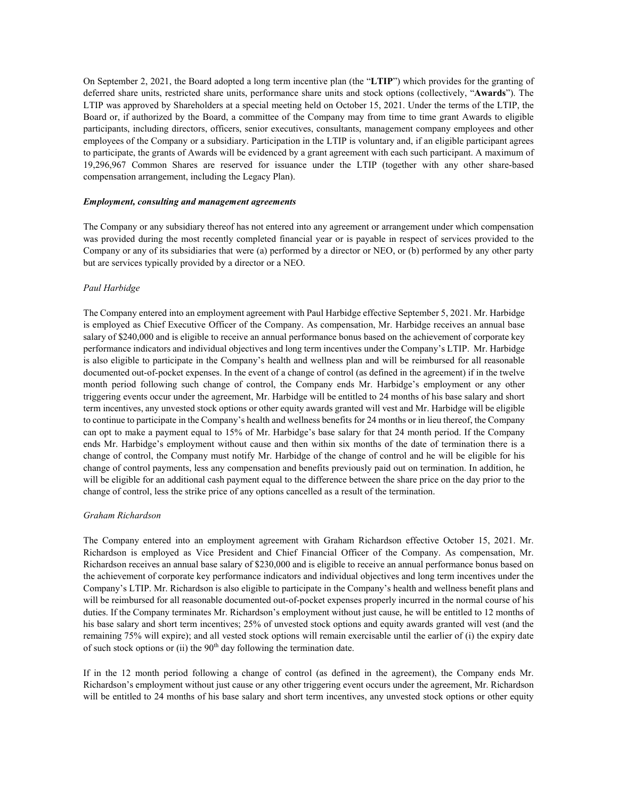On September 2, 2021, the Board adopted a long term incentive plan (the "**LTIP**") which provides for the granting of deferred share units, restricted share units, performance share units and stock options (collectively, "**Awards**"). The LTIP was approved by Shareholders at a special meeting held on October 15, 2021. Under the terms of the LTIP, the Board or, if authorized by the Board, a committee of the Company may from time to time grant Awards to eligible participants, including directors, officers, senior executives, consultants, management company employees and other employees of the Company or a subsidiary. Participation in the LTIP is voluntary and, if an eligible participant agrees to participate, the grants of Awards will be evidenced by a grant agreement with each such participant. A maximum of 19,296,967 Common Shares are reserved for issuance under the LTIP (together with any other share-based compensation arrangement, including the Legacy Plan).

#### *Employment, consulting and management agreements*

The Company or any subsidiary thereof has not entered into any agreement or arrangement under which compensation was provided during the most recently completed financial year or is payable in respect of services provided to the Company or any of its subsidiaries that were (a) performed by a director or NEO, or (b) performed by any other party but are services typically provided by a director or a NEO.

#### *Paul Harbidge*

The Company entered into an employment agreement with Paul Harbidge effective September 5, 2021. Mr. Harbidge is employed as Chief Executive Officer of the Company. As compensation, Mr. Harbidge receives an annual base salary of \$240,000 and is eligible to receive an annual performance bonus based on the achievement of corporate key performance indicators and individual objectives and long term incentives under the Company's LTIP. Mr. Harbidge is also eligible to participate in the Company's health and wellness plan and will be reimbursed for all reasonable documented out-of-pocket expenses. In the event of a change of control (as defined in the agreement) if in the twelve month period following such change of control, the Company ends Mr. Harbidge's employment or any other triggering events occur under the agreement, Mr. Harbidge will be entitled to 24 months of his base salary and short term incentives, any unvested stock options or other equity awards granted will vest and Mr. Harbidge will be eligible to continue to participate in the Company's health and wellness benefits for 24 months or in lieu thereof, the Company can opt to make a payment equal to 15% of Mr. Harbidge's base salary for that 24 month period. If the Company ends Mr. Harbidge's employment without cause and then within six months of the date of termination there is a change of control, the Company must notify Mr. Harbidge of the change of control and he will be eligible for his change of control payments, less any compensation and benefits previously paid out on termination. In addition, he will be eligible for an additional cash payment equal to the difference between the share price on the day prior to the change of control, less the strike price of any options cancelled as a result of the termination.

# *Graham Richardson*

The Company entered into an employment agreement with Graham Richardson effective October 15, 2021. Mr. Richardson is employed as Vice President and Chief Financial Officer of the Company. As compensation, Mr. Richardson receives an annual base salary of \$230,000 and is eligible to receive an annual performance bonus based on the achievement of corporate key performance indicators and individual objectives and long term incentives under the Company's LTIP. Mr. Richardson is also eligible to participate in the Company's health and wellness benefit plans and will be reimbursed for all reasonable documented out-of-pocket expenses properly incurred in the normal course of his duties. If the Company terminates Mr. Richardson's employment without just cause, he will be entitled to 12 months of his base salary and short term incentives; 25% of unvested stock options and equity awards granted will vest (and the remaining 75% will expire); and all vested stock options will remain exercisable until the earlier of (i) the expiry date of such stock options or (ii) the  $90<sup>th</sup>$  day following the termination date.

If in the 12 month period following a change of control (as defined in the agreement), the Company ends Mr. Richardson's employment without just cause or any other triggering event occurs under the agreement, Mr. Richardson will be entitled to 24 months of his base salary and short term incentives, any unvested stock options or other equity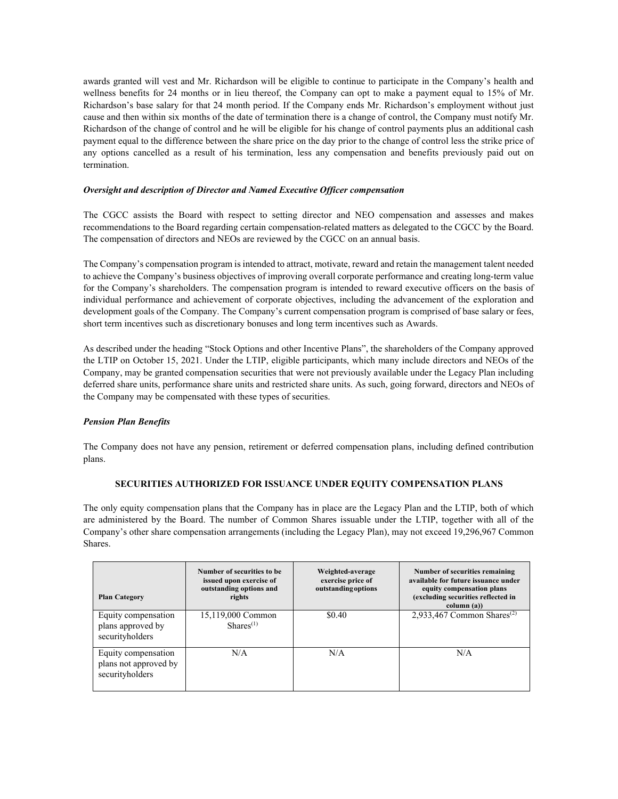awards granted will vest and Mr. Richardson will be eligible to continue to participate in the Company's health and wellness benefits for 24 months or in lieu thereof, the Company can opt to make a payment equal to 15% of Mr. Richardson's base salary for that 24 month period. If the Company ends Mr. Richardson's employment without just cause and then within six months of the date of termination there is a change of control, the Company must notify Mr. Richardson of the change of control and he will be eligible for his change of control payments plus an additional cash payment equal to the difference between the share price on the day prior to the change of control less the strike price of any options cancelled as a result of his termination, less any compensation and benefits previously paid out on termination.

# *Oversight and description of Director and Named Executive Officer compensation*

The CGCC assists the Board with respect to setting director and NEO compensation and assesses and makes recommendations to the Board regarding certain compensation-related matters as delegated to the CGCC by the Board. The compensation of directors and NEOs are reviewed by the CGCC on an annual basis.

The Company's compensation program is intended to attract, motivate, reward and retain the management talent needed to achieve the Company's business objectives of improving overall corporate performance and creating long-term value for the Company's shareholders. The compensation program is intended to reward executive officers on the basis of individual performance and achievement of corporate objectives, including the advancement of the exploration and development goals of the Company. The Company's current compensation program is comprised of base salary or fees, short term incentives such as discretionary bonuses and long term incentives such as Awards.

As described under the heading "Stock Options and other Incentive Plans", the shareholders of the Company approved the LTIP on October 15, 2021. Under the LTIP, eligible participants, which many include directors and NEOs of the Company, may be granted compensation securities that were not previously available under the Legacy Plan including deferred share units, performance share units and restricted share units. As such, going forward, directors and NEOs of the Company may be compensated with these types of securities.

# *Pension Plan Benefits*

The Company does not have any pension, retirement or deferred compensation plans, including defined contribution plans.

# **SECURITIES AUTHORIZED FOR ISSUANCE UNDER EQUITY COMPENSATION PLANS**

The only equity compensation plans that the Company has in place are the Legacy Plan and the LTIP, both of which are administered by the Board. The number of Common Shares issuable under the LTIP, together with all of the Company's other share compensation arrangements (including the Legacy Plan), may not exceed 19,296,967 Common Shares.

| <b>Plan Category</b>                                            | Number of securities to be<br>issued upon exercise of<br>outstanding options and<br>rights | Weighted-average<br>exercise price of<br>outstanding options | Number of securities remaining<br>available for future issuance under<br>equity compensation plans<br>(excluding securities reflected in<br>column (a)) |
|-----------------------------------------------------------------|--------------------------------------------------------------------------------------------|--------------------------------------------------------------|---------------------------------------------------------------------------------------------------------------------------------------------------------|
| Equity compensation<br>plans approved by<br>securityholders     | 15,119,000 Common<br>Shares <sup>(1)</sup>                                                 | \$0.40                                                       | 2,933,467 Common Shares <sup>(2)</sup>                                                                                                                  |
| Equity compensation<br>plans not approved by<br>securityholders | N/A                                                                                        | N/A                                                          | N/A                                                                                                                                                     |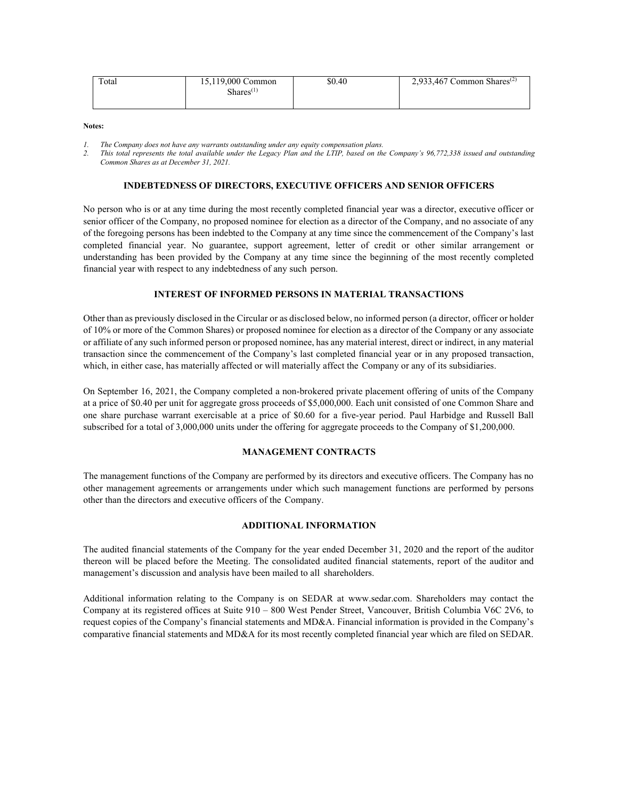| Total | 15,119,000 Common | \$0.40 | 2,933,467 Common Shares <sup><math>(2)</math></sup> |
|-------|-------------------|--------|-----------------------------------------------------|
|       | $Shares^{(1)}$    |        |                                                     |
|       |                   |        |                                                     |

*1. The Company does not have any warrants outstanding under any equity compensation plans.*

*2. This total represents the total available under the Legacy Plan and the LTIP, based on the Company's 96,772,338 issued and outstanding Common Shares as at December 31, 2021.*

## **INDEBTEDNESS OF DIRECTORS, EXECUTIVE OFFICERS AND SENIOR OFFICERS**

No person who is or at any time during the most recently completed financial year was a director, executive officer or senior officer of the Company, no proposed nominee for election as a director of the Company, and no associate of any of the foregoing persons has been indebted to the Company at any time since the commencement of the Company's last completed financial year. No guarantee, support agreement, letter of credit or other similar arrangement or understanding has been provided by the Company at any time since the beginning of the most recently completed financial year with respect to any indebtedness of any such person.

# **INTEREST OF INFORMED PERSONS IN MATERIAL TRANSACTIONS**

Other than as previously disclosed in the Circular or as disclosed below, no informed person (a director, officer or holder of 10% or more of the Common Shares) or proposed nominee for election as a director of the Company or any associate or affiliate of any such informed person or proposed nominee, has any material interest, direct or indirect, in any material transaction since the commencement of the Company's last completed financial year or in any proposed transaction, which, in either case, has materially affected or will materially affect the Company or any of its subsidiaries.

On September 16, 2021, the Company completed a non-brokered private placement offering of units of the Company at a price of \$0.40 per unit for aggregate gross proceeds of \$5,000,000. Each unit consisted of one Common Share and one share purchase warrant exercisable at a price of \$0.60 for a five-year period. Paul Harbidge and Russell Ball subscribed for a total of 3,000,000 units under the offering for aggregate proceeds to the Company of \$1,200,000.

# **MANAGEMENT CONTRACTS**

The management functions of the Company are performed by its directors and executive officers. The Company has no other management agreements or arrangements under which such management functions are performed by persons other than the directors and executive officers of the Company.

# **ADDITIONAL INFORMATION**

The audited financial statements of the Company for the year ended December 31, 2020 and the report of the auditor thereon will be placed before the Meeting. The consolidated audited financial statements, report of the auditor and management's discussion and analysis have been mailed to all shareholders.

Additional information relating to the Company is on SEDAR at www.sedar.com. Shareholders may contact the Company at its registered offices at Suite 910 – 800 West Pender Street, Vancouver, British Columbia V6C 2V6, to request copies of the Company's financial statements and MD&A. Financial information is provided in the Company's comparative financial statements and MD&A for its most recently completed financial year which are filed on SEDAR.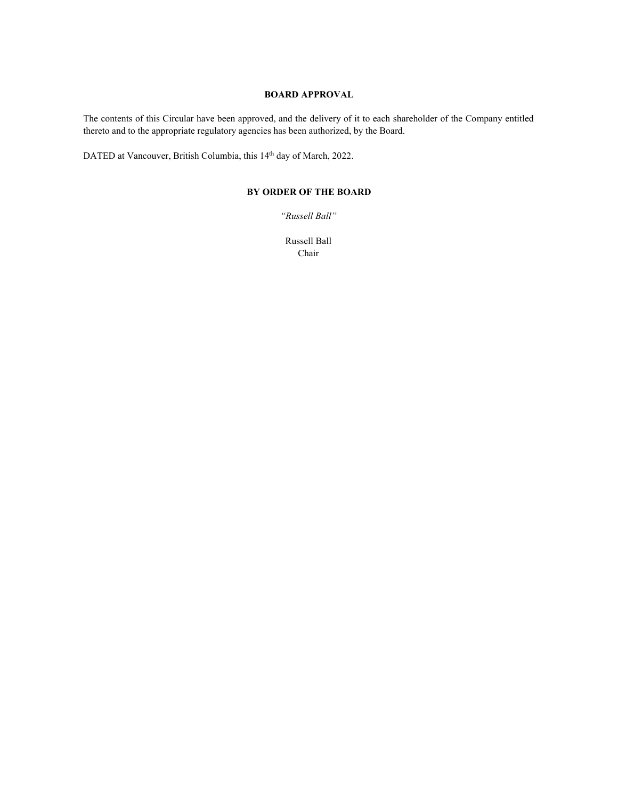# **BOARD APPROVAL**

The contents of this Circular have been approved, and the delivery of it to each shareholder of the Company entitled thereto and to the appropriate regulatory agencies has been authorized, by the Board.

DATED at Vancouver, British Columbia, this 14<sup>th</sup> day of March, 2022.

# **BY ORDER OF THE BOARD**

*"Russell Ball"*

Russell Ball Chair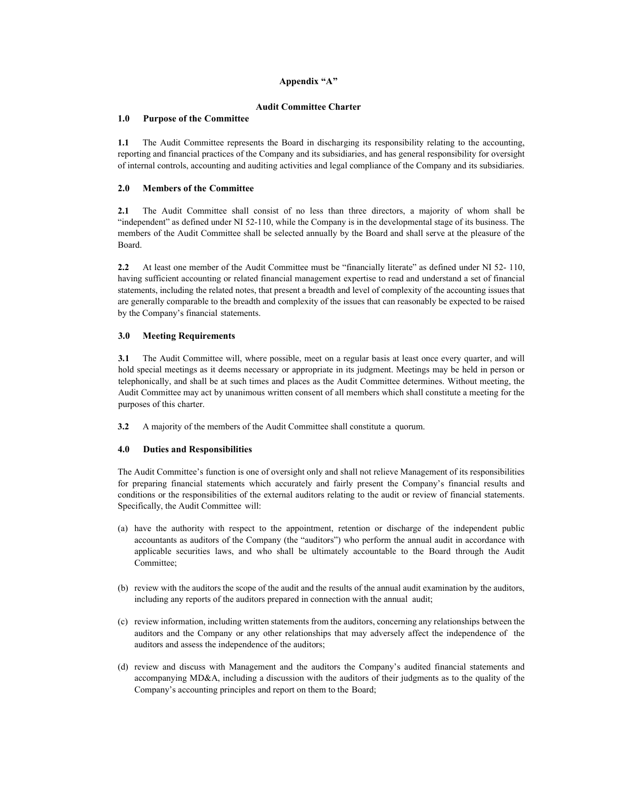## **Appendix "A"**

#### **Audit Committee Charter**

#### **1.0 Purpose of the Committee**

**1.1** The Audit Committee represents the Board in discharging its responsibility relating to the accounting, reporting and financial practices of the Company and its subsidiaries, and has general responsibility for oversight of internal controls, accounting and auditing activities and legal compliance of the Company and its subsidiaries.

#### **2.0 Members of the Committee**

**2.1** The Audit Committee shall consist of no less than three directors, a majority of whom shall be "independent" as defined under NI 52-110, while the Company is in the developmental stage of its business. The members of the Audit Committee shall be selected annually by the Board and shall serve at the pleasure of the Board.

**2.2** At least one member of the Audit Committee must be "financially literate" as defined under NI 52- 110, having sufficient accounting or related financial management expertise to read and understand a set of financial statements, including the related notes, that present a breadth and level of complexity of the accounting issues that are generally comparable to the breadth and complexity of the issues that can reasonably be expected to be raised by the Company's financial statements.

#### **3.0 Meeting Requirements**

**3.1** The Audit Committee will, where possible, meet on a regular basis at least once every quarter, and will hold special meetings as it deems necessary or appropriate in its judgment. Meetings may be held in person or telephonically, and shall be at such times and places as the Audit Committee determines. Without meeting, the Audit Committee may act by unanimous written consent of all members which shall constitute a meeting for the purposes of this charter.

**3.2** A majority of the members of the Audit Committee shall constitute a quorum.

#### **4.0 Duties and Responsibilities**

The Audit Committee's function is one of oversight only and shall not relieve Management of its responsibilities for preparing financial statements which accurately and fairly present the Company's financial results and conditions or the responsibilities of the external auditors relating to the audit or review of financial statements. Specifically, the Audit Committee will:

- (a) have the authority with respect to the appointment, retention or discharge of the independent public accountants as auditors of the Company (the "auditors") who perform the annual audit in accordance with applicable securities laws, and who shall be ultimately accountable to the Board through the Audit Committee;
- (b) review with the auditors the scope of the audit and the results of the annual audit examination by the auditors, including any reports of the auditors prepared in connection with the annual audit;
- (c) review information, including written statements from the auditors, concerning any relationships between the auditors and the Company or any other relationships that may adversely affect the independence of the auditors and assess the independence of the auditors;
- (d) review and discuss with Management and the auditors the Company's audited financial statements and accompanying MD&A, including a discussion with the auditors of their judgments as to the quality of the Company's accounting principles and report on them to the Board;